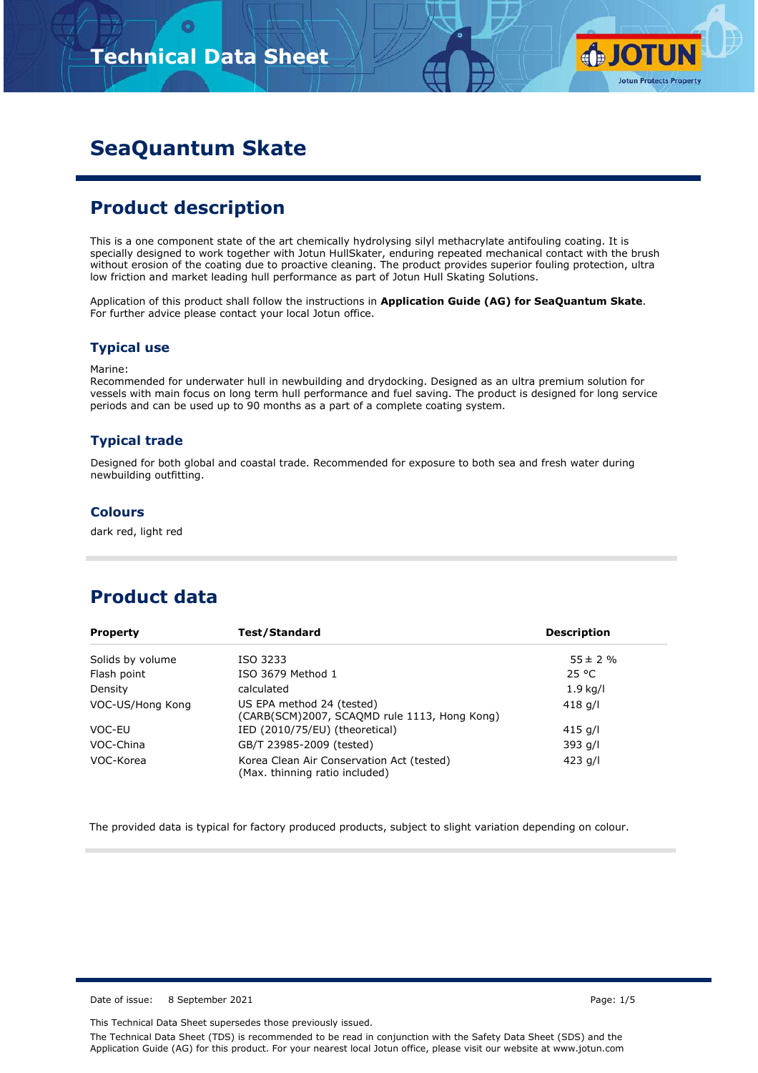

# **SeaQuantum Skate**

## **Product description**

This is a one component state of the art chemically hydrolysing silyl methacrylate antifouling coating. It is specially designed to work together with Jotun HullSkater, enduring repeated mechanical contact with the brush without erosion of the coating due to proactive cleaning. The product provides superior fouling protection, ultra low friction and market leading hull performance as part of Jotun Hull Skating Solutions.

Application of this product shall follow the instructions in **Application Guide (AG) for SeaQuantum Skate**. For further advice please contact your local Jotun office.

### **Typical use**

Marine:

Recommended for underwater hull in newbuilding and drydocking. Designed as an ultra premium solution for vessels with main focus on long term hull performance and fuel saving. The product is designed for long service periods and can be used up to 90 months as a part of a complete coating system.

### **Typical trade**

Designed for both global and coastal trade. Recommended for exposure to both sea and fresh water during newbuilding outfitting.

### **Colours**

dark red, light red

## **Product data**

| Test/Standard<br><b>Property</b> |                                                                             | <b>Description</b> |  |  |
|----------------------------------|-----------------------------------------------------------------------------|--------------------|--|--|
| Solids by volume                 | ISO 3233                                                                    | $55 \pm 2 \%$      |  |  |
| Flash point                      | ISO 3679 Method 1                                                           | 25 °C              |  |  |
| Density                          | calculated                                                                  | $1.9$ kg/l         |  |  |
| VOC-US/Hong Kong                 | US EPA method 24 (tested)<br>(CARB(SCM)2007, SCAQMD rule 1113, Hong Kong)   | 418 g/l            |  |  |
| VOC-EU                           | IED (2010/75/EU) (theoretical)                                              | 415 g/l            |  |  |
| VOC-China                        | GB/T 23985-2009 (tested)                                                    | 393 g/l            |  |  |
| VOC-Korea                        | Korea Clean Air Conservation Act (tested)<br>(Max. thinning ratio included) | 423 $q/l$          |  |  |

The provided data is typical for factory produced products, subject to slight variation depending on colour.

Date of issue: 8 September 2021 **Page: 1/5** 

This Technical Data Sheet supersedes those previously issued. The Technical Data Sheet (TDS) is recommended to be read in conjunction with the Safety Data Sheet (SDS) and the Application Guide (AG) for this product. For your nearest local Jotun office, please visit our website at www.jotun.com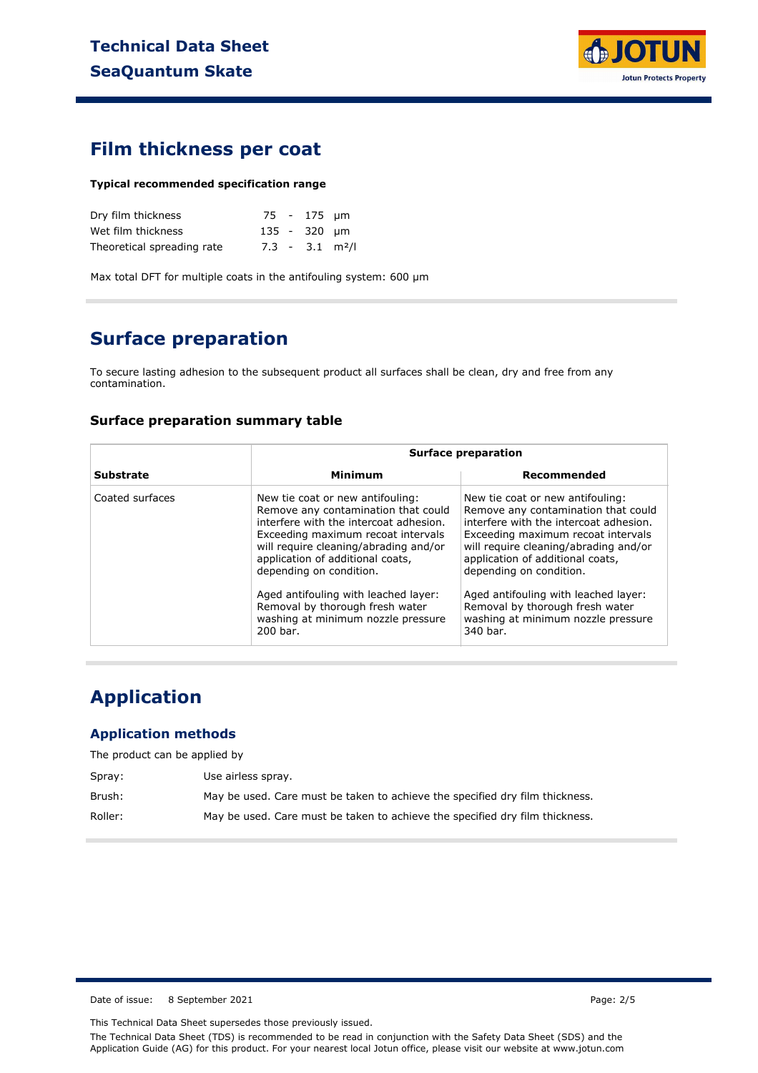

### **Film thickness per coat**

#### **Typical recommended specification range**

| Dry film thickness         |  | 75 - 175 µm  |                               |
|----------------------------|--|--------------|-------------------------------|
| Wet film thickness         |  | 135 - 320 µm |                               |
| Theoretical spreading rate |  |              | $7.3 - 3.1$ m <sup>2</sup> /l |

Max total DFT for multiple coats in the antifouling system: 600 µm

# **Surface preparation**

To secure lasting adhesion to the subsequent product all surfaces shall be clean, dry and free from any contamination.

#### **Surface preparation summary table**

|                  |                                                                                                                                                                                                                                                                                                                                                                                              | <b>Surface preparation</b>                                                                                                                                                                                                                                                                                                                                                                   |  |  |  |
|------------------|----------------------------------------------------------------------------------------------------------------------------------------------------------------------------------------------------------------------------------------------------------------------------------------------------------------------------------------------------------------------------------------------|----------------------------------------------------------------------------------------------------------------------------------------------------------------------------------------------------------------------------------------------------------------------------------------------------------------------------------------------------------------------------------------------|--|--|--|
| <b>Substrate</b> | Minimum                                                                                                                                                                                                                                                                                                                                                                                      | Recommended                                                                                                                                                                                                                                                                                                                                                                                  |  |  |  |
| Coated surfaces  | New tie coat or new antifouling:<br>Remove any contamination that could<br>interfere with the intercoat adhesion.<br>Exceeding maximum recoat intervals<br>will require cleaning/abrading and/or<br>application of additional coats,<br>depending on condition.<br>Aged antifouling with leached layer:<br>Removal by thorough fresh water<br>washing at minimum nozzle pressure<br>200 bar. | New tie coat or new antifouling:<br>Remove any contamination that could<br>interfere with the intercoat adhesion.<br>Exceeding maximum recoat intervals<br>will require cleaning/abrading and/or<br>application of additional coats,<br>depending on condition.<br>Aged antifouling with leached layer:<br>Removal by thorough fresh water<br>washing at minimum nozzle pressure<br>340 bar. |  |  |  |

# **Application**

### **Application methods**

The product can be applied by

| Spray:  | Use airless spray.                                                           |
|---------|------------------------------------------------------------------------------|
| Brush:  | May be used. Care must be taken to achieve the specified dry film thickness. |
| Roller: | May be used. Care must be taken to achieve the specified dry film thickness. |

Date of issue: 8 September 2021 **Page: 2/5** 

This Technical Data Sheet supersedes those previously issued.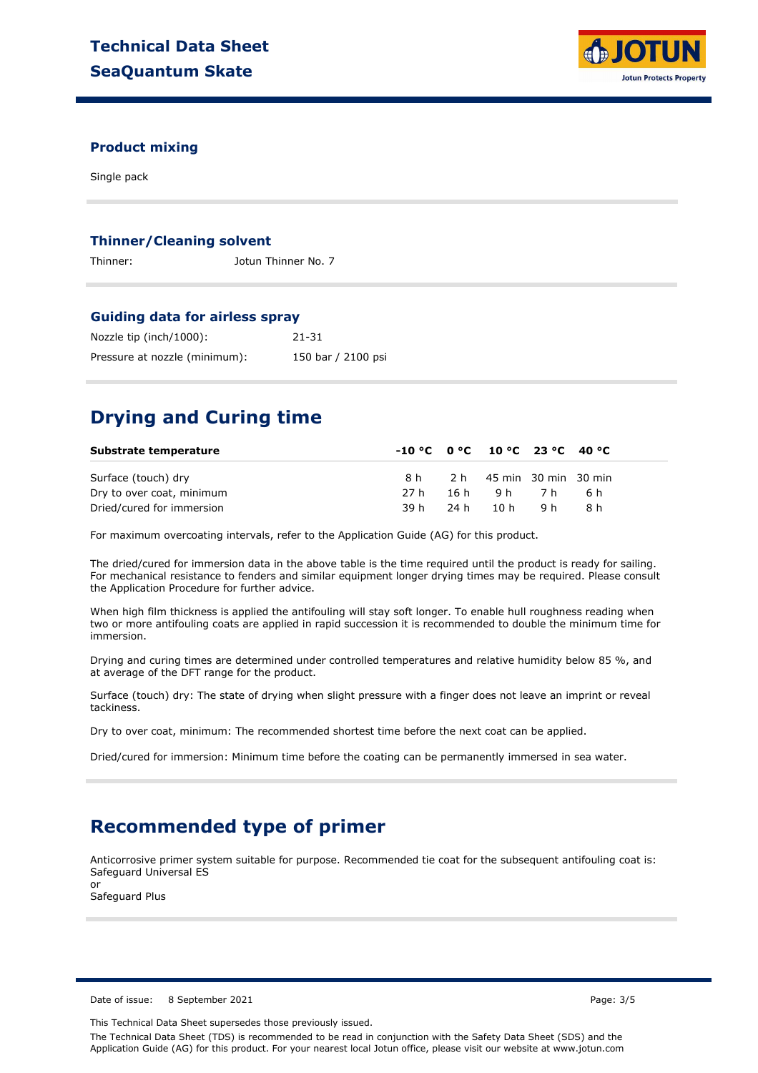

#### **Product mixing**

Single pack

#### **Thinner/Cleaning solvent**

Thinner: Jotun Thinner No. 7

#### **Guiding data for airless spray**

| Nozzle tip (inch/1000):       | 21-31              |
|-------------------------------|--------------------|
| Pressure at nozzle (minimum): | 150 bar / 2100 psi |

## **Drying and Curing time**

| Substrate temperature     | $-10\degree$ C $0\degree$ C $10\degree$ C 23 $\degree$ C 40 $\degree$ C |                          |       |  |
|---------------------------|-------------------------------------------------------------------------|--------------------------|-------|--|
| Surface (touch) dry       | 8 h                                                                     | 2 h 45 min 30 min 30 min |       |  |
| Dry to over coat, minimum | 27 h                                                                    | 16h 9h 7h                | - 6 h |  |
| Dried/cured for immersion | 39 h                                                                    | 24h 10h 9h               | -8 h  |  |

For maximum overcoating intervals, refer to the Application Guide (AG) for this product.

The dried/cured for immersion data in the above table is the time required until the product is ready for sailing. For mechanical resistance to fenders and similar equipment longer drying times may be required. Please consult the Application Procedure for further advice.

When high film thickness is applied the antifouling will stay soft longer. To enable hull roughness reading when two or more antifouling coats are applied in rapid succession it is recommended to double the minimum time for immersion.

Drying and curing times are determined under controlled temperatures and relative humidity below 85 %, and at average of the DFT range for the product.

Surface (touch) dry: The state of drying when slight pressure with a finger does not leave an imprint or reveal tackiness.

Dry to over coat, minimum: The recommended shortest time before the next coat can be applied.

Dried/cured for immersion: Minimum time before the coating can be permanently immersed in sea water.

## **Recommended type of primer**

Anticorrosive primer system suitable for purpose. Recommended tie coat for the subsequent antifouling coat is: Safeguard Universal ES or

Safeguard Plus

Date of issue: 8 September 2021 **Page: 3/5** 

This Technical Data Sheet supersedes those previously issued.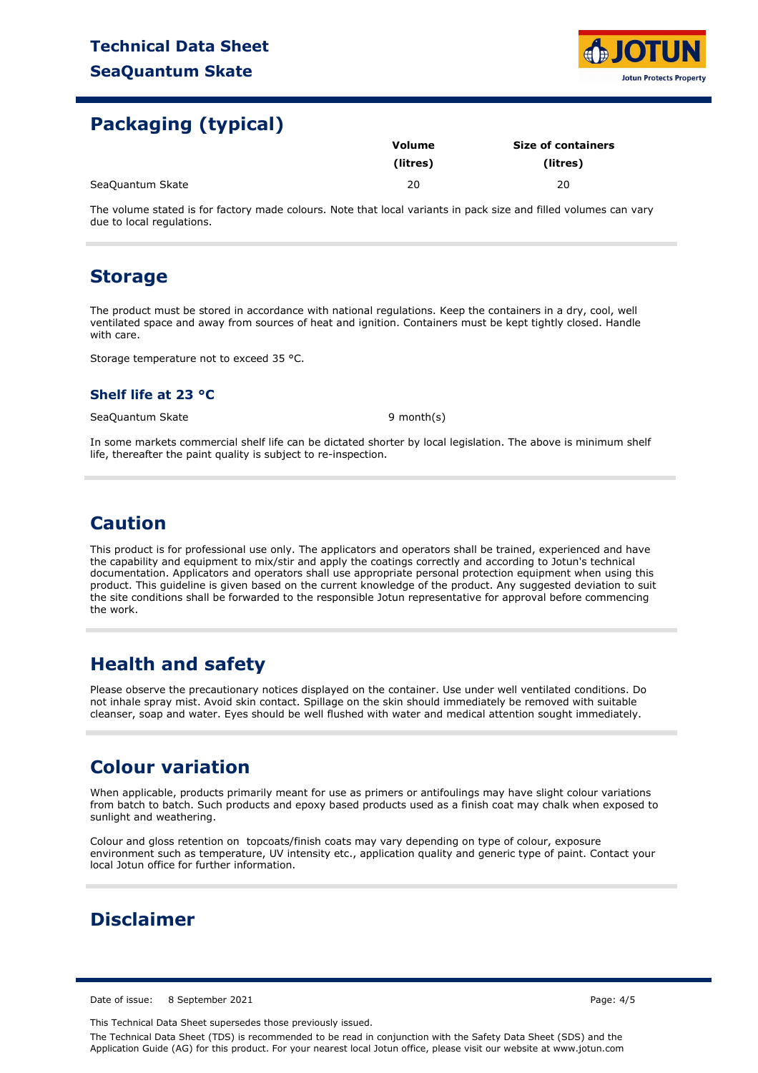

## **Packaging (typical)**

|                  | Volume   | <b>Size of containers</b> |  |  |
|------------------|----------|---------------------------|--|--|
|                  | (litres) | (litres)                  |  |  |
| SeaQuantum Skate | 20       | 20                        |  |  |

The volume stated is for factory made colours. Note that local variants in pack size and filled volumes can vary due to local regulations.

## **Storage**

The product must be stored in accordance with national regulations. Keep the containers in a dry, cool, well ventilated space and away from sources of heat and ignition. Containers must be kept tightly closed. Handle with care.

Storage temperature not to exceed 35 °C.

### **Shelf life at 23 °C**

SeaQuantum Skate 9 month(s)

In some markets commercial shelf life can be dictated shorter by local legislation. The above is minimum shelf life, thereafter the paint quality is subject to re-inspection.

## **Caution**

This product is for professional use only. The applicators and operators shall be trained, experienced and have the capability and equipment to mix/stir and apply the coatings correctly and according to Jotun's technical documentation. Applicators and operators shall use appropriate personal protection equipment when using this product. This guideline is given based on the current knowledge of the product. Any suggested deviation to suit the site conditions shall be forwarded to the responsible Jotun representative for approval before commencing the work.

# **Health and safety**

Please observe the precautionary notices displayed on the container. Use under well ventilated conditions. Do not inhale spray mist. Avoid skin contact. Spillage on the skin should immediately be removed with suitable cleanser, soap and water. Eyes should be well flushed with water and medical attention sought immediately.

## **Colour variation**

When applicable, products primarily meant for use as primers or antifoulings may have slight colour variations from batch to batch. Such products and epoxy based products used as a finish coat may chalk when exposed to sunlight and weathering.

Colour and gloss retention on topcoats/finish coats may vary depending on type of colour, exposure environment such as temperature, UV intensity etc., application quality and generic type of paint. Contact your local Jotun office for further information.

# **Disclaimer**

Date of issue: 8 September 2021 **Page: 4/5** 

This Technical Data Sheet supersedes those previously issued.